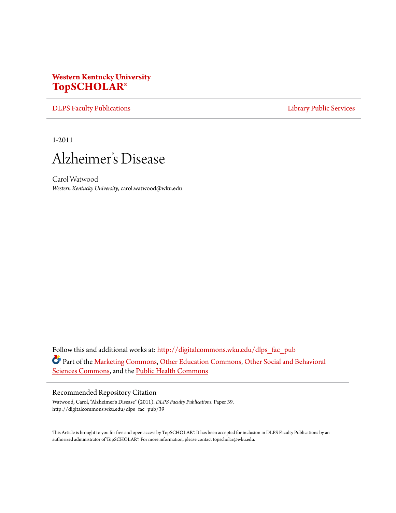# **Western Kentucky University [TopSCHOLAR®](http://digitalcommons.wku.edu?utm_source=digitalcommons.wku.edu%2Fdlps_fac_pub%2F39&utm_medium=PDF&utm_campaign=PDFCoverPages)**

[DLPS Faculty Publications](http://digitalcommons.wku.edu/dlps_fac_pub?utm_source=digitalcommons.wku.edu%2Fdlps_fac_pub%2F39&utm_medium=PDF&utm_campaign=PDFCoverPages) **[Library Public Services](http://digitalcommons.wku.edu/dlps?utm_source=digitalcommons.wku.edu%2Fdlps_fac_pub%2F39&utm_medium=PDF&utm_campaign=PDFCoverPages)** Library Public Services

1-2011



Carol Watwood *Western Kentucky University*, carol.watwood@wku.edu

Follow this and additional works at: [http://digitalcommons.wku.edu/dlps\\_fac\\_pub](http://digitalcommons.wku.edu/dlps_fac_pub?utm_source=digitalcommons.wku.edu%2Fdlps_fac_pub%2F39&utm_medium=PDF&utm_campaign=PDFCoverPages) Part of the [Marketing Commons,](http://network.bepress.com/hgg/discipline/638?utm_source=digitalcommons.wku.edu%2Fdlps_fac_pub%2F39&utm_medium=PDF&utm_campaign=PDFCoverPages) [Other Education Commons](http://network.bepress.com/hgg/discipline/811?utm_source=digitalcommons.wku.edu%2Fdlps_fac_pub%2F39&utm_medium=PDF&utm_campaign=PDFCoverPages), [Other Social and Behavioral](http://network.bepress.com/hgg/discipline/437?utm_source=digitalcommons.wku.edu%2Fdlps_fac_pub%2F39&utm_medium=PDF&utm_campaign=PDFCoverPages) [Sciences Commons,](http://network.bepress.com/hgg/discipline/437?utm_source=digitalcommons.wku.edu%2Fdlps_fac_pub%2F39&utm_medium=PDF&utm_campaign=PDFCoverPages) and the [Public Health Commons](http://network.bepress.com/hgg/discipline/738?utm_source=digitalcommons.wku.edu%2Fdlps_fac_pub%2F39&utm_medium=PDF&utm_campaign=PDFCoverPages)

#### Recommended Repository Citation

Watwood, Carol, "Alzheimer's Disease" (2011). *DLPS Faculty Publications.* Paper 39. http://digitalcommons.wku.edu/dlps\_fac\_pub/39

This Article is brought to you for free and open access by TopSCHOLAR®. It has been accepted for inclusion in DLPS Faculty Publications by an authorized administrator of TopSCHOLAR®. For more information, please contact topscholar@wku.edu.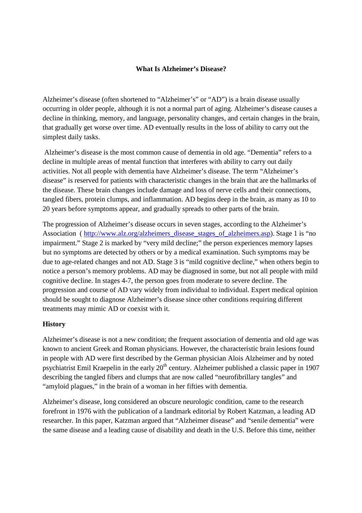### **What Is Alzheimer's Disease?**

Alzheimer's disease (often shortened to "Alzheimer's" or "AD") is a brain disease usually occurring in older people, although it is not a normal part of aging. Alzheimer's disease causes a decline in thinking, memory, and language, personality changes, and certain changes in the brain, that gradually get worse over time. AD eventually results in the loss of ability to carry out the simplest daily tasks.

 Alzheimer's disease is the most common cause of dementia in old age. "Dementia" refers to a decline in multiple areas of mental function that interferes with ability to carry out daily activities. Not all people with dementia have Alzheimer's disease. The term "Alzheimer's disease" is reserved for patients with characteristic changes in the brain that are the hallmarks of the disease. These brain changes include damage and loss of nerve cells and their connections, tangled fibers, protein clumps, and inflammation. AD begins deep in the brain, as many as 10 to 20 years before symptoms appear, and gradually spreads to other parts of the brain.

The progression of Alzheimer's disease occurs in seven stages, according to the Alzheimer's Association ( http://www.alz.org/alzheimers\_disease\_stages\_of\_alzheimers.asp). Stage 1 is "no impairment." Stage 2 is marked by "very mild decline;" the person experiences memory lapses but no symptoms are detected by others or by a medical examination. Such symptoms may be due to age-related changes and not AD. Stage 3 is "mild cognitive decline," when others begin to notice a person's memory problems. AD may be diagnosed in some, but not all people with mild cognitive decline. In stages 4-7, the person goes from moderate to severe decline. The progression and course of AD vary widely from individual to individual. Expert medical opinion should be sought to diagnose Alzheimer's disease since other conditions requiring different treatments may mimic AD or coexist with it.

### **History**

Alzheimer's disease is not a new condition; the frequent association of dementia and old age was known to ancient Greek and Roman physicians. However, the characteristic brain lesions found in people with AD were first described by the German physician Alois Alzheimer and by noted psychiatrist Emil Kraepelin in the early  $20<sup>th</sup>$  century. Alzheimer published a classic paper in 1907 describing the tangled fibers and clumps that are now called "neurofibrillary tangles" and "amyloid plagues," in the brain of a woman in her fifties with dementia.

Alzheimer's disease, long considered an obscure neurologic condition, came to the research forefront in 1976 with the publication of a landmark editorial by Robert Katzman, a leading AD researcher. In this paper, Katzman argued that "Alzheimer disease" and "senile dementia" were the same disease and a leading cause of disability and death in the U.S. Before this time, neither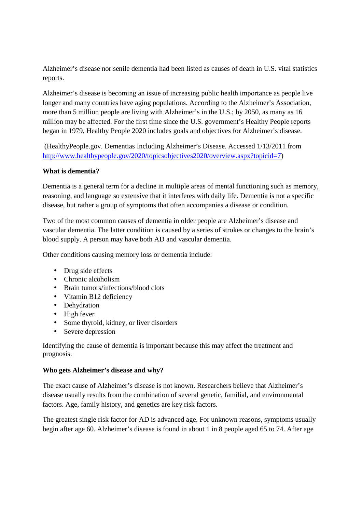Alzheimer's disease nor senile dementia had been listed as causes of death in U.S. vital statistics reports.

Alzheimer's disease is becoming an issue of increasing public health importance as people live longer and many countries have aging populations. According to the Alzheimer's Association, more than 5 million people are living with Alzheimer's in the U.S.; by 2050, as many as 16 million may be affected. For the first time since the U.S. government's Healthy People reports began in 1979, Healthy People 2020 includes goals and objectives for Alzheimer's disease.

 (HealthyPeople.gov. Dementias Including Alzheimer's Disease. Accessed 1/13/2011 from http://www.healthypeople.gov/2020/topicsobjectives2020/overview.aspx?topicid=7)

# **What is dementia?**

Dementia is a general term for a decline in multiple areas of mental functioning such as memory, reasoning, and language so extensive that it interferes with daily life. Dementia is not a specific disease, but rather a group of symptoms that often accompanies a disease or condition.

Two of the most common causes of dementia in older people are Alzheimer's disease and vascular dementia. The latter condition is caused by a series of strokes or changes to the brain's blood supply. A person may have both AD and vascular dementia.

Other conditions causing memory loss or dementia include:

- Drug side effects
- Chronic alcoholism
- Brain tumors/infections/blood clots
- Vitamin B12 deficiency
- Dehydration
- High fever
- Some thyroid, kidney, or liver disorders
- Severe depression

Identifying the cause of dementia is important because this may affect the treatment and prognosis.

### **Who gets Alzheimer's disease and why?**

The exact cause of Alzheimer's disease is not known. Researchers believe that Alzheimer's disease usually results from the combination of several genetic, familial, and environmental factors. Age, family history, and genetics are key risk factors.

The greatest single risk factor for AD is advanced age. For unknown reasons, symptoms usually begin after age 60. Alzheimer's disease is found in about 1 in 8 people aged 65 to 74. After age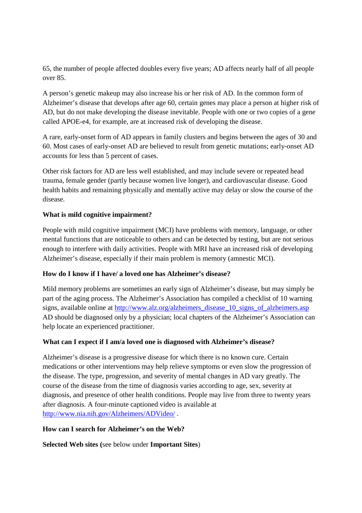65, the number of people affected doubles every five years; AD affects nearly half of all people over 85.

A person's genetic makeup may also increase his or her risk of AD. In the common form of Alzheimer's disease that develops after age 60, certain genes may place a person at higher risk of AD, but do not make developing the disease inevitable. People with one or two copies of a gene called APOE-e4, for example, are at increased risk of developing the disease.

A rare, early-onset form of AD appears in family clusters and begins between the ages of 30 and 60. Most cases of early-onset AD are believed to result from genetic mutations; early-onset AD accounts for less than 5 percent of cases.

Other risk factors for AD are less well established, and may include severe or repeated head trauma, female gender (partly because women live longer), and cardiovascular disease. Good health habits and remaining physically and mentally active may delay or slow the course of the disease.

# **What is mild cognitive impairment?**

People with mild cognitive impairment (MCI) have problems with memory, language, or other mental functions that are noticeable to others and can be detected by testing, but are not serious enough to interfere with daily activities. People with MRI have an increased risk of developing Alzheimer's disease, especially if their main problem is memory (amnestic MCI).

### **How do I know if I have/ a loved one has Alzheimer's disease?**

Mild memory problems are sometimes an early sign of Alzheimer's disease, but may simply be part of the aging process. The Alzheimer's Association has compiled a checklist of 10 warning signs, available online at http://www.alz.org/alzheimers\_disease\_10\_signs\_of\_alzheimers.asp AD should be diagnosed only by a physician; local chapters of the Alzheimer's Association can help locate an experienced practitioner.

# **What can I expect if I am/a loved one is diagnosed with Alzheimer's disease?**

Alzheimer's disease is a progressive disease for which there is no known cure. Certain medications or other interventions may help relieve symptoms or even slow the progression of the disease. The type, progression, and severity of mental changes in AD vary greatly. The course of the disease from the time of diagnosis varies according to age, sex, severity at diagnosis, and presence of other health conditions. People may live from three to twenty years after diagnosis. A four-minute captioned video is available at http://www.nia.nih.gov/Alzheimers/ADVideo/ .

### **How can I search for Alzheimer's on the Web?**

**Selected Web sites (**see below under **Important Sites**)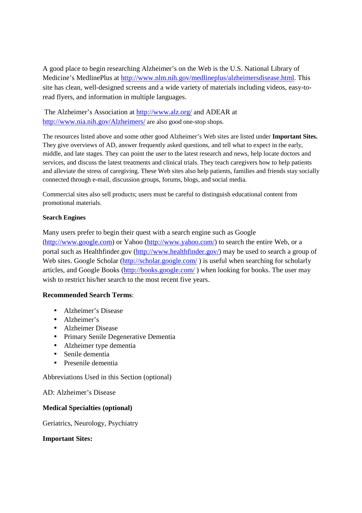A good place to begin researching Alzheimer's on the Web is the U.S. National Library of Medicine's MedlinePlus at http://www.nlm.nih.gov/medlineplus/alzheimersdisease.html. This site has clean, well-designed screens and a wide variety of materials including videos, easy-toread flyers, and information in multiple languages.

 The Alzheimer's Association at http://www.alz.org/ and ADEAR at http://www.nia.nih.gov/Alzheimers/ are also good one-stop shops.

The resources listed above and some other good Alzheimer's Web sites are listed under **Important Sites.**  They give overviews of AD, answer frequently asked questions, and tell what to expect in the early, middle, and late stages. They can point the user to the latest research and news, help locate doctors and services, and discuss the latest treatments and clinical trials. They teach caregivers how to help patients and alleviate the stress of caregiving. These Web sites also help patients, families and friends stay socially connected through e-mail, discussion groups, forums, blogs, and social media.

Commercial sites also sell products; users must be careful to distinguish educational content from promotional materials.

# **Search Engines**

Many users prefer to begin their quest with a search engine such as Google (http://www.google.com) or Yahoo (http://www.yahoo.com/) to search the entire Web, or a portal such as Healthfinder.gov (http://www.healthfinder.gov/) may be used to search a group of Web sites. Google Scholar (http://scholar.google.com/) is useful when searching for scholarly articles, and Google Books (http://books.google.com/ ) when looking for books. The user may wish to restrict his/her search to the most recent five years.

# **Recommended Search Terms**:

- Alzheimer's Disease
- Alzheimer's
- Alzheimer Disease
- Primary Senile Degenerative Dementia
- Alzheimer type dementia
- Senile dementia
- Presenile dementia

Abbreviations Used in this Section (optional)

AD: Alzheimer's Disease

### **Medical Specialties (optional)**

Geriatrics, Neurology, Psychiatry

### **Important Sites:**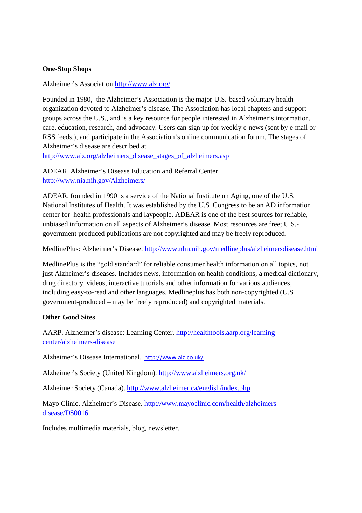## **One-Stop Shops**

Alzheimer's Association http://www.alz.org/

Founded in 1980, the Alzheimer's Association is the major U.S.-based voluntary health organization devoted to Alzheimer's disease. The Association has local chapters and support groups across the U.S., and is a key resource for people interested in Alzheimer's intormation, care, education, research, and advocacy. Users can sign up for weekly e-news (sent by e-mail or RSS feeds.), and participate in the Association's online communication forum. The stages of Alzheimer's disease are described at

http://www.alz.org/alzheimers\_disease\_stages\_of\_alzheimers.asp

ADEAR. Alzheimer's Disease Education and Referral Center. http://www.nia.nih.gov/Alzheimers/

ADEAR, founded in 1990 is a service of the National Institute on Aging, one of the U.S. National Institutes of Health. It was established by the U.S. Congress to be an AD information center for health professionals and laypeople. ADEAR is one of the best sources for reliable, unbiased information on all aspects of Alzheimer's disease. Most resources are free; U.S. government produced publications are not copyrighted and may be freely reproduced.

MedlinePlus: Alzheimer's Disease. http://www.nlm.nih.gov/medlineplus/alzheimersdisease.html

MedlinePlus is the "gold standard" for reliable consumer health information on all topics, not just Alzheimer's diseases. Includes news, information on health conditions, a medical dictionary, drug directory, videos, interactive tutorials and other information for various audiences, including easy-to-read and other languages. Medlineplus has both non-copyrighted (U.S. government-produced – may be freely reproduced) and copyrighted materials.

### **Other Good Sites**

AARP. Alzheimer's disease: Learning Center. http://healthtools.aarp.org/learningcenter/alzheimers-disease

Alzheimer's Disease International. http://www.alz.co.uk/

Alzheimer's Society (United Kingdom). http://www.alzheimers.org.uk/

Alzheimer Society (Canada). http://www.alzheimer.ca/english/index.php

Mayo Clinic. Alzheimer's Disease. http://www.mayoclinic.com/health/alzheimersdisease/DS00161

Includes multimedia materials, blog, newsletter.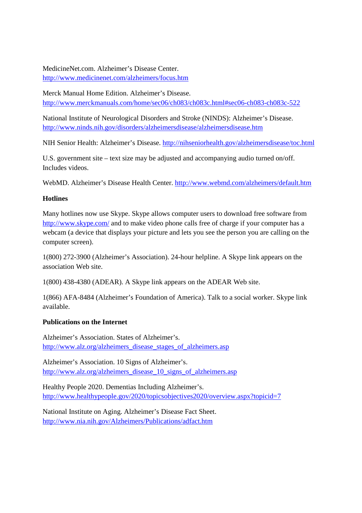MedicineNet.com. Alzheimer's Disease Center. http://www.medicinenet.com/alzheimers/focus.htm

Merck Manual Home Edition. Alzheimer's Disease. http://www.merckmanuals.com/home/sec06/ch083/ch083c.html#sec06-ch083-ch083c-522

National Institute of Neurological Disorders and Stroke (NINDS): Alzheimer's Disease. http://www.ninds.nih.gov/disorders/alzheimersdisease/alzheimersdisease.htm

NIH Senior Health: Alzheimer's Disease. http://nihseniorhealth.gov/alzheimersdisease/toc.html

U.S. government site – text size may be adjusted and accompanying audio turned on/off. Includes videos.

WebMD. Alzheimer's Disease Health Center. http://www.webmd.com/alzheimers/default.htm

# **Hotlines**

Many hotlines now use Skype. Skype allows computer users to download free software from http://www.skype.com/ and to make video phone calls free of charge if your computer has a webcam (a device that displays your picture and lets you see the person you are calling on the computer screen).

1(800) 272-3900 (Alzheimer's Association). 24-hour helpline. A Skype link appears on the association Web site.

1(800) 438-4380 (ADEAR). A Skype link appears on the ADEAR Web site.

1(866) AFA-8484 (Alzheimer's Foundation of America). Talk to a social worker. Skype link available.

# **Publications on the Internet**

Alzheimer's Association. States of Alzheimer's. http://www.alz.org/alzheimers\_disease\_stages\_of\_alzheimers.asp

Alzheimer's Association. 10 Signs of Alzheimer's. http://www.alz.org/alzheimers\_disease\_10\_signs\_of\_alzheimers.asp

Healthy People 2020. Dementias Including Alzheimer's. http://www.healthypeople.gov/2020/topicsobjectives2020/overview.aspx?topicid=7

National Institute on Aging. Alzheimer's Disease Fact Sheet. http://www.nia.nih.gov/Alzheimers/Publications/adfact.htm